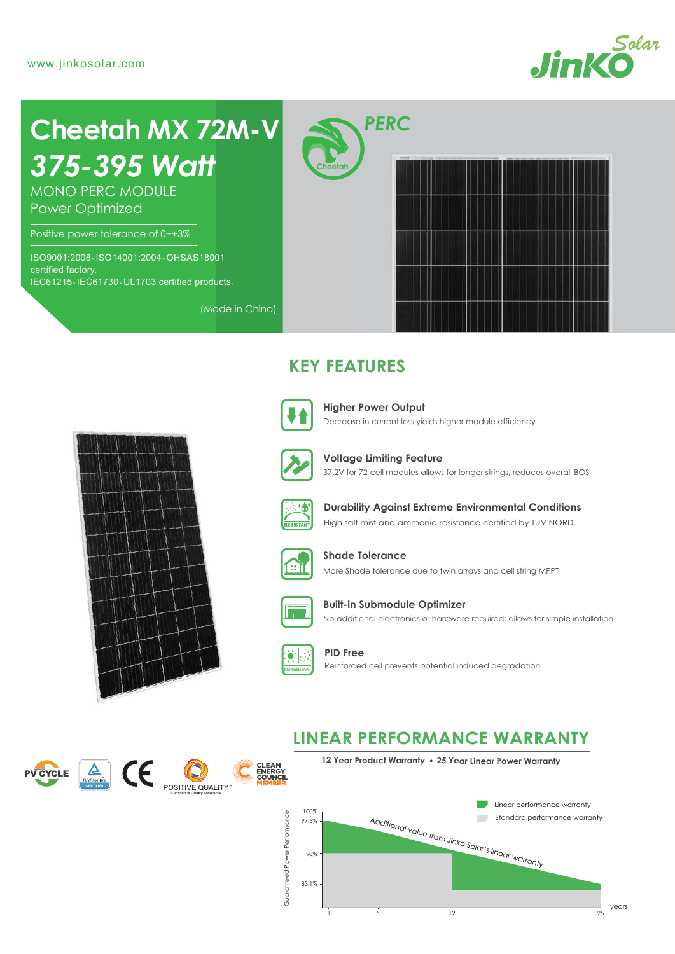

# *375-395 Watt* **Cheetah MX 72M-V**

MONO PERC MODULE Power Optimized

Positive power tolerance of 0~+3%

ISO9001:2008、ISO14001:2004、OHSAS18001 certified factory. IEC61215、IEC61730、UL1703 certified products.

**Cheetah**



# **KEY FEATURES**



(Made in China)

Decrease in current loss yields higher module efficiency **Higher Power Output**



37.2V for 72-cell modules allows for longer strings, reduces overall BOS **Voltage Limiting Feature**



**Durability Against Extreme Environmental Conditions**

High salt mist and ammonia resistance certified by TUV NORD.



More Shade tolerance due to twin arrays and cell string MPPT **Shade Tolerance**



No additional electronics or hardware required; allows for simple installation **Built-in Submodule Optimizer**



**CLEAN<br>ENERGY<br>COUNCIL** 

**PID Free** Reinforced cell prevents potential induced degradation

## **LINEAR PERFORMANCE WARRANTY**



**12 Year Product Warranty 25 Year Linear Power Warranty**